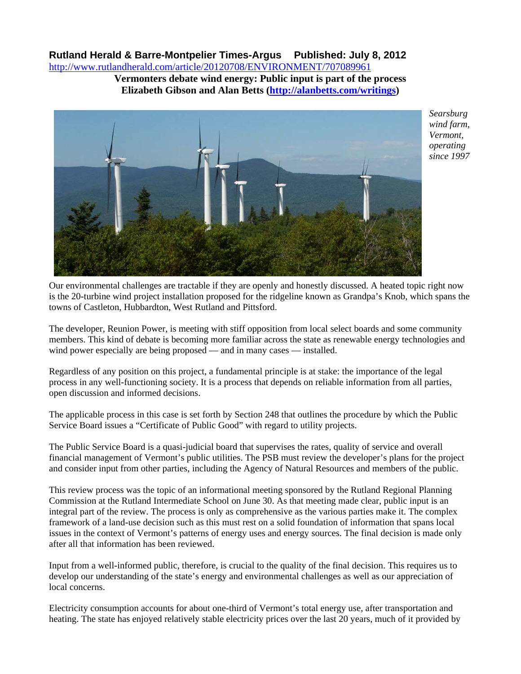## **Rutland Herald & Barre-Montpelier Times-Argus Published: July 8, 2012** <http://www.rutlandherald.com/article/20120708/ENVIRONMENT/707089961>

**Vermonters debate wind energy: Public input is part of the process Elizabeth Gibson and Alan Betts [\(http://alanbetts.com/writings](http://alanbetts.com/writings))** 



*Searsburg wind farm, Vermont, operating since 1997* 

Our environmental challenges are tractable if they are openly and honestly discussed. A heated topic right now is the 20-turbine wind project installation proposed for the ridgeline known as Grandpa's Knob, which spans the towns of Castleton, Hubbardton, West Rutland and Pittsford.

The developer, Reunion Power, is meeting with stiff opposition from local select boards and some community members. This kind of debate is becoming more familiar across the state as renewable energy technologies and wind power especially are being proposed — and in many cases — installed.

Regardless of any position on this project, a fundamental principle is at stake: the importance of the legal process in any well-functioning society. It is a process that depends on reliable information from all parties, open discussion and informed decisions.

The applicable process in this case is set forth by Section 248 that outlines the procedure by which the Public Service Board issues a "Certificate of Public Good" with regard to utility projects.

The Public Service Board is a quasi-judicial board that supervises the rates, quality of service and overall financial management of Vermont's public utilities. The PSB must review the developer's plans for the project and consider input from other parties, including the Agency of Natural Resources and members of the public.

This review process was the topic of an informational meeting sponsored by the Rutland Regional Planning Commission at the Rutland Intermediate School on June 30. As that meeting made clear, public input is an integral part of the review. The process is only as comprehensive as the various parties make it. The complex framework of a land-use decision such as this must rest on a solid foundation of information that spans local issues in the context of Vermont's patterns of energy uses and energy sources. The final decision is made only after all that information has been reviewed.

Input from a well-informed public, therefore, is crucial to the quality of the final decision. This requires us to develop our understanding of the state's energy and environmental challenges as well as our appreciation of local concerns.

Electricity consumption accounts for about one-third of Vermont's total energy use, after transportation and heating. The state has enjoyed relatively stable electricity prices over the last 20 years, much of it provided by